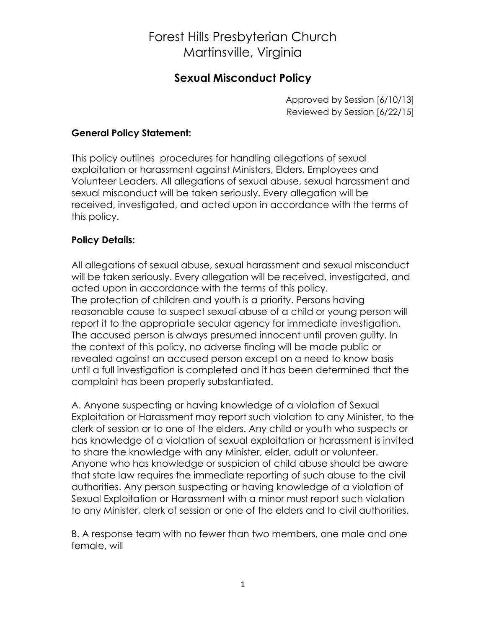## Forest Hills Presbyterian Church Martinsville, Virginia

### **Sexual Misconduct Policy**

Approved by Session [6/10/13] Reviewed by Session [6/22/15]

#### **General Policy Statement:**

This policy outlines procedures for handling allegations of sexual exploitation or harassment against Ministers, Elders, Employees and Volunteer Leaders. All allegations of sexual abuse, sexual harassment and sexual misconduct will be taken seriously. Every allegation will be received, investigated, and acted upon in accordance with the terms of this policy.

#### **Policy Details:**

All allegations of sexual abuse, sexual harassment and sexual misconduct will be taken seriously. Every allegation will be received, investigated, and acted upon in accordance with the terms of this policy. The protection of children and youth is a priority. Persons having reasonable cause to suspect sexual abuse of a child or young person will report it to the appropriate secular agency for immediate investigation. The accused person is always presumed innocent until proven guilty. In the context of this policy, no adverse finding will be made public or revealed against an accused person except on a need to know basis until a full investigation is completed and it has been determined that the complaint has been properly substantiated.

A. Anyone suspecting or having knowledge of a violation of Sexual Exploitation or Harassment may report such violation to any Minister, to the clerk of session or to one of the elders. Any child or youth who suspects or has knowledge of a violation of sexual exploitation or harassment is invited to share the knowledge with any Minister, elder, adult or volunteer. Anyone who has knowledge or suspicion of child abuse should be aware that state law requires the immediate reporting of such abuse to the civil authorities. Any person suspecting or having knowledge of a violation of Sexual Exploitation or Harassment with a minor must report such violation to any Minister, clerk of session or one of the elders and to civil authorities.

B. A response team with no fewer than two members, one male and one female, will